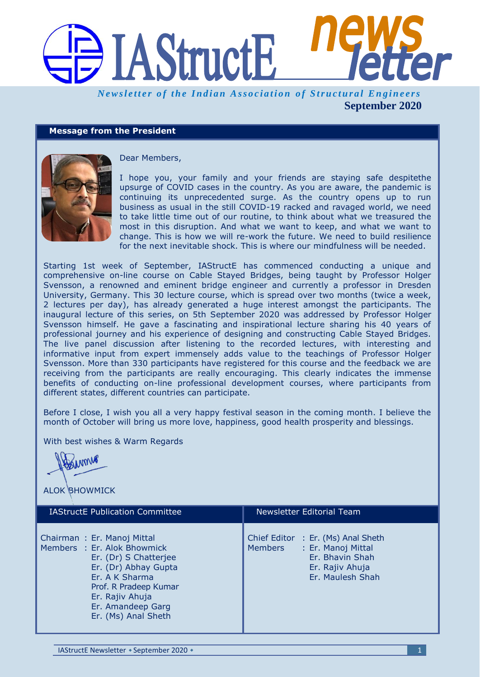

## **Message from the President**



Dear Members,

I hope you, your family and your friends are staying safe despitethe upsurge of COVID cases in the country. As you are aware, the pandemic is continuing its unprecedented surge. As the country opens up to run business as usual in the still COVID-19 racked and ravaged world, we need to take little time out of our routine, to think about what we treasured the most in this disruption. And what we want to keep, and what we want to change. This is how we will re-work the future. We need to build resilience for the next inevitable shock. This is where our mindfulness will be needed.

Starting 1st week of September, IAStructE has commenced conducting a unique and comprehensive on-line course on Cable Stayed Bridges, being taught by Professor Holger Svensson, a renowned and eminent bridge engineer and currently a professor in Dresden University, Germany. This 30 lecture course, which is spread over two months (twice a week, 2 lectures per day), has already generated a huge interest amongst the participants. The inaugural lecture of this series, on 5th September 2020 was addressed by Professor Holger Svensson himself. He gave a fascinating and inspirational lecture sharing his 40 years of professional journey and his experience of designing and constructing Cable Stayed Bridges. The live panel discussion after listening to the recorded lectures, with interesting and informative input from expert immensely adds value to the teachings of Professor Holger Svensson. More than 330 participants have registered for this course and the feedback we are receiving from the participants are really encouraging. This clearly indicates the immense benefits of conducting on-line professional development courses, where participants from different states, different countries can participate.

Before I close, I wish you all a very happy festival season in the coming month. I believe the month of October will bring us more love, happiness, good health prosperity and blessings.

With best wishes & Warm Regards

MM

ALOK BHOWMICK

| <b>IAStructE Publication Committee</b>                                                                                                                                                                               | Newsletter Editorial Team                                                                                                     |
|----------------------------------------------------------------------------------------------------------------------------------------------------------------------------------------------------------------------|-------------------------------------------------------------------------------------------------------------------------------|
| Chairman: Er. Manoj Mittal<br>Members : Er. Alok Bhowmick<br>Er. (Dr) S Chatterjee<br>Er. (Dr) Abhay Gupta<br>Er. A K Sharma<br>Prof. R Pradeep Kumar<br>Er. Rajiv Ahuja<br>Er. Amandeep Garg<br>Er. (Ms) Anal Sheth | Chief Editor : Er. (Ms) Anal Sheth<br>Members<br>: Er. Manoj Mittal<br>Er. Bhavin Shah<br>Er. Rajiv Ahuja<br>Er. Maulesh Shah |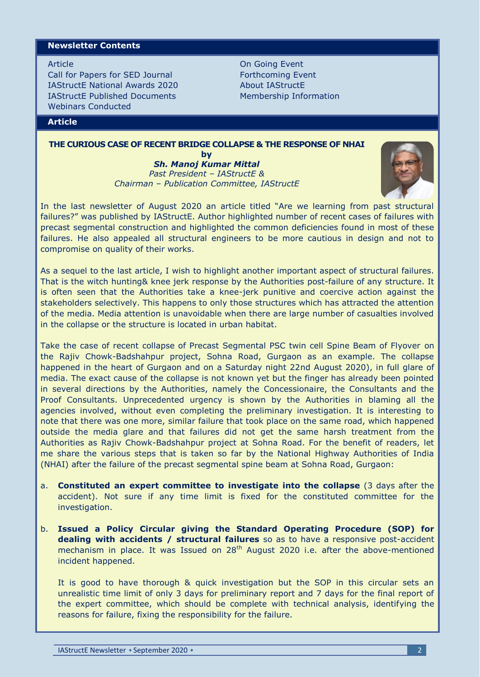### **Newsletter Contents**

Article

Call for Papers for SED Journal IAStructE National Awards 2020 IAStructE Published Documents Webinars Conducted

On Going Event Forthcoming Event About IAStructE Membership Information

# **Article**

# **THE CURIOUS CASE OF RECENT BRIDGE COLLAPSE & THE RESPONSE OF NHAI**

**by** *Sh. Manoj Kumar Mittal Past President – IAStructE & Chairman – Publication Committee, IAStructE*



In the last newsletter of August 2020 an article titled "Are we learning from past structural failures?" was published by IAStructE. Author highlighted number of recent cases of failures with precast segmental construction and highlighted the common deficiencies found in most of these failures. He also appealed all structural engineers to be more cautious in design and not to compromise on quality of their works.

As a sequel to the last article, I wish to highlight another important aspect of structural failures. That is the witch hunting& knee jerk response by the Authorities post-failure of any structure. It is often seen that the Authorities take a knee-jerk punitive and coercive action against the stakeholders selectively. This happens to only those structures which has attracted the attention of the media. Media attention is unavoidable when there are large number of casualties involved in the collapse or the structure is located in urban habitat.

Take the case of recent collapse of Precast Segmental PSC twin cell Spine Beam of Flyover on the Rajiv Chowk-Badshahpur project, Sohna Road, Gurgaon as an example. The collapse happened in the heart of Gurgaon and on a Saturday night 22nd August 2020), in full glare of media. The exact cause of the collapse is not known yet but the finger has already been pointed in several directions by the Authorities, namely the Concessionaire, the Consultants and the Proof Consultants. Unprecedented urgency is shown by the Authorities in blaming all the agencies involved, without even completing the preliminary investigation. It is interesting to note that there was one more, similar failure that took place on the same road, which happened outside the media glare and that failures did not get the same harsh treatment from the Authorities as Rajiv Chowk-Badshahpur project at Sohna Road. For the benefit of readers, let me share the various steps that is taken so far by the National Highway Authorities of India (NHAI) after the failure of the precast segmental spine beam at Sohna Road, Gurgaon:

- a. **Constituted an expert committee to investigate into the collapse** (3 days after the accident). Not sure if any time limit is fixed for the constituted committee for the investigation.
- b. **Issued a Policy Circular giving the Standard Operating Procedure (SOP) for dealing with accidents / structural failures** so as to have a responsive post-accident mechanism in place. It was Issued on 28<sup>th</sup> August 2020 i.e. after the above-mentioned incident happened.

It is good to have thorough & quick investigation but the SOP in this circular sets an unrealistic time limit of only 3 days for preliminary report and 7 days for the final report of the expert committee, which should be complete with technical analysis, identifying the reasons for failure, fixing the responsibility for the failure.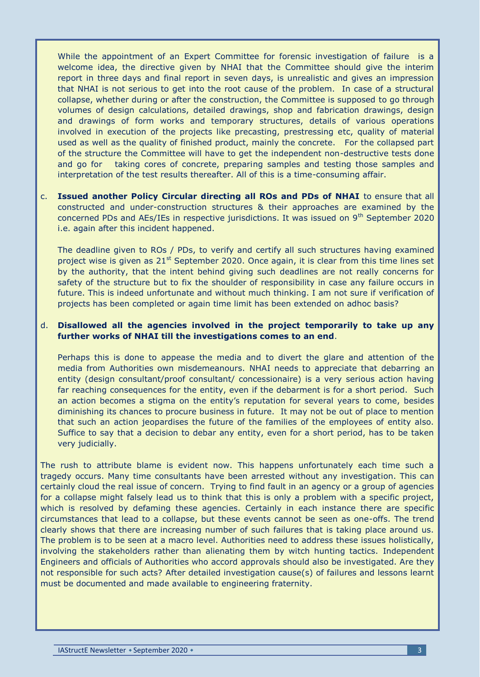While the appointment of an Expert Committee for forensic investigation of failure is a welcome idea, the directive given by NHAI that the Committee should give the interim report in three days and final report in seven days, is unrealistic and gives an impression that NHAI is not serious to get into the root cause of the problem. In case of a structural collapse, whether during or after the construction, the Committee is supposed to go through volumes of design calculations, detailed drawings, shop and fabrication drawings, design and drawings of form works and temporary structures, details of various operations involved in execution of the projects like precasting, prestressing etc, quality of material used as well as the quality of finished product, mainly the concrete. For the collapsed part of the structure the Committee will have to get the independent non-destructive tests done and go for taking cores of concrete, preparing samples and testing those samples and interpretation of the test results thereafter. All of this is a time-consuming affair.

c. **Issued another Policy Circular directing all ROs and PDs of NHAI** to ensure that all constructed and under-construction structures & their approaches are examined by the concerned PDs and AEs/IEs in respective jurisdictions. It was issued on 9th September 2020 i.e. again after this incident happened.

The deadline given to ROs / PDs, to verify and certify all such structures having examined project wise is given as  $21<sup>st</sup>$  September 2020. Once again, it is clear from this time lines set by the authority, that the intent behind giving such deadlines are not really concerns for safety of the structure but to fix the shoulder of responsibility in case any failure occurs in future. This is indeed unfortunate and without much thinking. I am not sure if verification of projects has been completed or again time limit has been extended on adhoc basis?

## d. **Disallowed all the agencies involved in the project temporarily to take up any further works of NHAI till the investigations comes to an end**.

Perhaps this is done to appease the media and to divert the glare and attention of the media from Authorities own misdemeanours. NHAI needs to appreciate that debarring an entity (design consultant/proof consultant/ concessionaire) is a very serious action having far reaching consequences for the entity, even if the debarment is for a short period. Such an action becomes a stigma on the entity's reputation for several years to come, besides diminishing its chances to procure business in future. It may not be out of place to mention that such an action jeopardises the future of the families of the employees of entity also. Suffice to say that a decision to debar any entity, even for a short period, has to be taken very judicially.

The rush to attribute blame is evident now. This happens unfortunately each time such a tragedy occurs. Many time consultants have been arrested without any investigation. This can certainly cloud the real issue of concern. Trying to find fault in an agency or a group of agencies for a collapse might falsely lead us to think that this is only a problem with a specific project, which is resolved by defaming these agencies. Certainly in each instance there are specific circumstances that lead to a collapse, but these events cannot be seen as one-offs. The trend clearly shows that there are increasing number of such failures that is taking place around us. The problem is to be seen at a macro level. Authorities need to address these issues holistically, involving the stakeholders rather than alienating them by witch hunting tactics. Independent Engineers and officials of Authorities who accord approvals should also be investigated. Are they not responsible for such acts? After detailed investigation cause(s) of failures and lessons learnt must be documented and made available to engineering fraternity.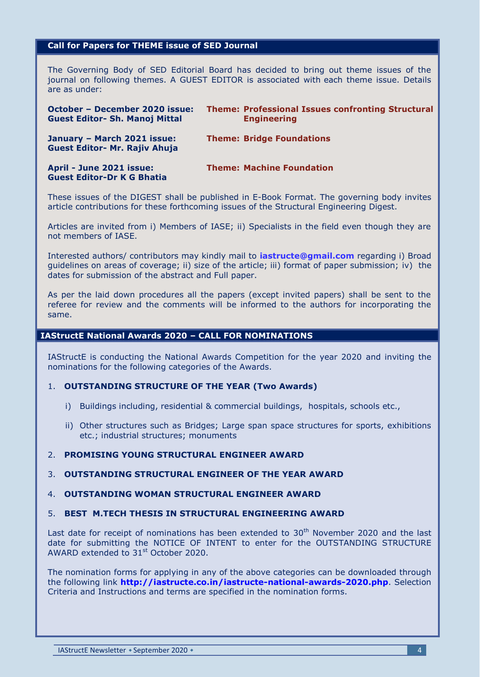## **Call for Papers for THEME issue of SED Journal**

The Governing Body of SED Editorial Board has decided to bring out theme issues of the journal on following themes. A GUEST EDITOR is associated with each theme issue. Details are as under:

| October – December 2020 issue:<br><b>Guest Editor- Sh. Manoj Mittal</b> | <b>Theme: Professional Issues confronting Structural</b><br><b>Engineering</b> |
|-------------------------------------------------------------------------|--------------------------------------------------------------------------------|
| January - March 2021 issue:<br><b>Guest Editor- Mr. Rajiv Ahuja</b>     | <b>Theme: Bridge Foundations</b>                                               |
| April - June 2021 issue:<br><b>Guest Editor-Dr K G Bhatia</b>           | <b>Theme: Machine Foundation</b>                                               |

These issues of the DIGEST shall be published in E-Book Format. The governing body invites article contributions for these forthcoming issues of the Structural Engineering Digest.

Articles are invited from i) Members of IASE; ii) Specialists in the field even though they are not members of IASE.

Interested authors/ contributors may kindly mail to **[iastructe@gmail.com](mailto:iastructe@gmail.com)** regarding i) Broad guidelines on areas of coverage; ii) size of the article; iii) format of paper submission; iv) the dates for submission of the abstract and Full paper.

As per the laid down procedures all the papers (except invited papers) shall be sent to the referee for review and the comments will be informed to the authors for incorporating the same.

### **IAStructE National Awards 2020 – CALL FOR NOMINATIONS**

IAStructE is conducting the National Awards Competition for the year 2020 and inviting the nominations for the following categories of the Awards.

## 1. **OUTSTANDING STRUCTURE OF THE YEAR (Two Awards)**

- i) Buildings including, residential & commercial buildings, hospitals, schools etc.,
- ii) Other structures such as Bridges; Large span space structures for sports, exhibitions etc.; industrial structures; monuments

# 2. **PROMISING YOUNG STRUCTURAL ENGINEER AWARD**

### 3. **OUTSTANDING STRUCTURAL ENGINEER OF THE YEAR AWARD**

### 4. **OUTSTANDING WOMAN STRUCTURAL ENGINEER AWARD**

#### 5. **BEST M.TECH THESIS IN STRUCTURAL ENGINEERING AWARD**

Last date for receipt of nominations has been extended to  $30<sup>th</sup>$  November 2020 and the last date for submitting the NOTICE OF INTENT to enter for the OUTSTANDING STRUCTURE AWARD extended to  $31<sup>st</sup>$  October 2020.

The nomination forms for applying in any of the above categories can be downloaded through the following link **<http://iastructe.co.in/iastructe-national-awards-2020.php>**. Selection Criteria and Instructions and terms are specified in the nomination forms.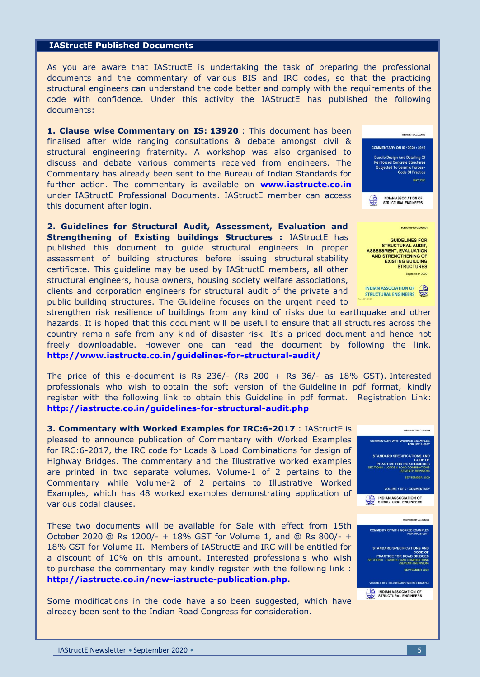#### **IAStructE Published Documents**

As you are aware that IAStructE is undertaking the task of preparing the professional documents and the commentary of various BIS and IRC codes, so that the practicing structural engineers can understand the code better and comply with the requirements of the code with confidence. Under this activity the IAStructE has published the following documents:

**1. Clause wise Commentary on IS: 13920** : This document has been finalised after wide ranging consultations & debate amongst civil & structural engineering fraternity. A workshop was also organised to discuss and debate various comments received from engineers. The Commentary has already been sent to the Bureau of Indian Standards for further action. The commentary is available on **[www.iastructe.co.in](http://www.iastructe.co.in/)** under IAStructE Professional Documents. IAStructE member can access this document after login.

**2. Guidelines for Structural Audit, Assessment, Evaluation and Strengthening of Existing buildings Structures :** IAStructE has published this document to guide structural engineers in proper assessment of building structures before issuing structural stability certificate. This guideline may be used by IAStructE members, all other structural engineers, house owners, housing society welfare associations, clients and corporation engineers for structural audit of the private and public building structures. The Guideline focuses on the urgent need to



nber 2020

INDIAN ASSOCIATION OF

strengthen risk resilience of buildings from any kind of risks due to earthquake and other hazards. It is hoped that this document will be useful to ensure that all structures across the country remain safe from any kind of disaster risk. It's a priced document and hence not freely downloadable. However one can read the document by following the link. **<http://www.iastructe.co.in/guidelines-for-structural-audit/>**

The price of this e-document is Rs  $236/-$  (Rs  $200 +$  Rs  $36/-$  as 18% GST). Interested professionals who wish to obtain the soft version of the Guideline in pdf format, kindly register with the following link to obtain this Guideline in pdf format. Registration Link: **<http://iastructe.co.in/guidelines-for-structural-audit.php>**

**3. Commentary with Worked Examples for IRC:6-2017** : IAStructE is pleased to announce publication of Commentary with Worked Examples for IRC:6-2017, the IRC code for Loads & Load Combinations for design of Highway Bridges. The commentary and the Illustrative worked examples are printed in two separate volumes. Volume-1 of 2 pertains to the Commentary while Volume-2 of 2 pertains to Illustrative Worked Examples, which has 48 worked examples demonstrating application of various codal clauses.

These two documents will be available for Sale with effect from 15th October 2020 @ Rs 1200/- + 18% GST for Volume 1, and @ Rs 800/- + 18% GST for Volume II. Members of IAStructE and IRC will be entitled for a discount of 10% on this amount. Interested professionals who wish to purchase the commentary may kindly register with the following link : **[http://iastructe.co.in/new-iastructe-publication.php.](http://iastructe.co.in/new-iastructe-publication.php)**

Some modifications in the code have also been suggested, which have already been sent to the Indian Road Congress for consideration.

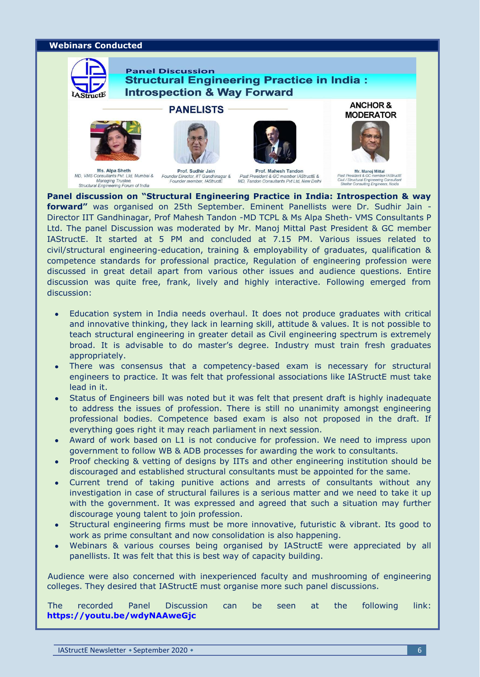#### **Webinars Conducted**







**PANELISTS** 



Ms. Alpa Sheth MD, VMS Consultants Pvt. Ltd, Mumbai & Founder Director, IIT Gandhinagar &<br>Managing Trustee, Founder member, IAStructural Engineering Forum of India

Prof. Sudhir Jain

Prof. Mahesh Tandon Past President & GC member IAStructE &<br>MD, Tandon Consultants Pvt Ltd, New Delhi



**MODERATOR** 

Mr. Manoj Mittal Civil / Structural Engineering Consultar<br>Shelter Consulting Engineeris, Noida

**Panel discussion on "Structural Engineering Practice in India: Introspection & way forward"** was organised on 25th September. Eminent Panellists were Dr. Sudhir Jain - Director IIT Gandhinagar, Prof Mahesh Tandon -MD TCPL & Ms Alpa Sheth- VMS Consultants P Ltd. The panel Discussion was moderated by Mr. Manoj Mittal Past President & GC member IAStructE. It started at 5 PM and concluded at 7.15 PM. Various issues related to civil/structural engineering-education, training & employability of graduates, qualification & competence standards for professional practice, Regulation of engineering profession were discussed in great detail apart from various other issues and audience questions. Entire discussion was quite free, frank, lively and highly interactive. Following emerged from discussion:

- Education system in India needs overhaul. It does not produce graduates with critical and innovative thinking, they lack in learning skill, attitude & values. It is not possible to teach structural engineering in greater detail as Civil engineering spectrum is extremely broad. It is advisable to do master"s degree. Industry must train fresh graduates appropriately.
- There was consensus that a competency-based exam is necessary for structural engineers to practice. It was felt that professional associations like IAStructE must take lead in it.
- Status of Engineers bill was noted but it was felt that present draft is highly inadequate to address the issues of profession. There is still no unanimity amongst engineering professional bodies. Competence based exam is also not proposed in the draft. If everything goes right it may reach parliament in next session.
- Award of work based on L1 is not conducive for profession. We need to impress upon government to follow WB & ADB processes for awarding the work to consultants.
- Proof checking & vetting of designs by IITs and other engineering institution should be discouraged and established structural consultants must be appointed for the same.
- Current trend of taking punitive actions and arrests of consultants without any investigation in case of structural failures is a serious matter and we need to take it up with the government. It was expressed and agreed that such a situation may further discourage young talent to join profession.
- Structural engineering firms must be more innovative, futuristic & vibrant. Its good to work as prime consultant and now consolidation is also happening.
- Webinars & various courses being organised by IAStructE were appreciated by all panellists. It was felt that this is best way of capacity building.

Audience were also concerned with inexperienced faculty and mushrooming of engineering colleges. They desired that IAStructE must organise more such panel discussions.

The recorded Panel Discussion can be seen at the following link: **<https://youtu.be/wdyNAAweGjc>**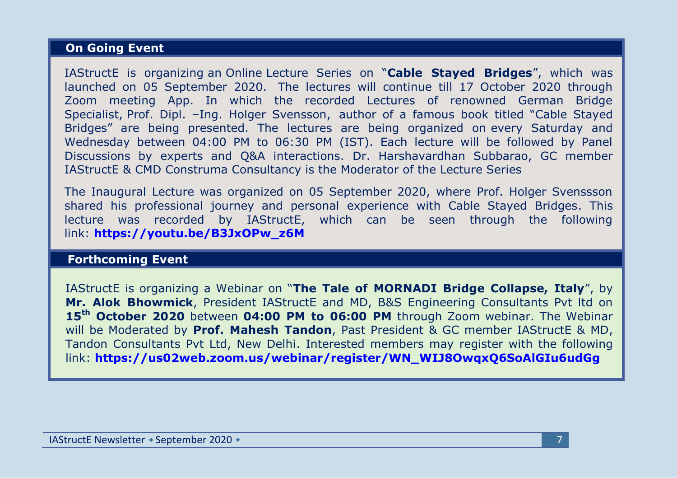## **On Going Event**

IAStructE is organizing an Online Lecture Series on "**Cable Stayed Bridges**", which was launched on 05 September 2020. The lectures will continue till 17 October 2020 through Zoom meeting App. In which the recorded Lectures of renowned German Bridge Specialist, Prof. Dipl. –Ing. Holger Svensson, author of a famous book titled "Cable Stayed Bridges" are being presented. The lectures are being organized on every Saturday and Wednesday between 04:00 PM to 06:30 PM (IST). Each lecture will be followed by Panel Discussions by experts and Q&A interactions. Dr. Harshavardhan Subbarao, GC member IAStructE & CMD Construma Consultancy is the Moderator of the Lecture Series

The Inaugural Lecture was organized on 05 September 2020, where Prof. Holger Svenssson shared his professional journey and personal experience with Cable Stayed Bridges. This lecture was recorded by IAStructE, which can be seen through the following link: **[https://youtu.be/B3JxOPw\\_z6M](https://youtu.be/B3JxOPw_z6M)**

### **Forthcoming Event**

IAStructE is organizing a Webinar on "**The Tale of MORNADI Bridge Collapse, Italy**", by **Mr. Alok Bhowmick**, President IAStructE and MD, B&S Engineering Consultants Pvt ltd on **15th October 2020** between **04:00 PM to 06:00 PM** through Zoom webinar. The Webinar will be Moderated by **Prof. Mahesh Tandon**, Past President & GC member IAStructE & MD, Tandon Consultants Pvt Ltd, New Delhi. Interested members may register with the following link: **[https://us02web.zoom.us/webinar/register/WN\\_WIJ8OwqxQ6SoAlGIu6udGg](https://us02web.zoom.us/webinar/register/WN_WIJ8OwqxQ6SoAlGIu6udGg)**